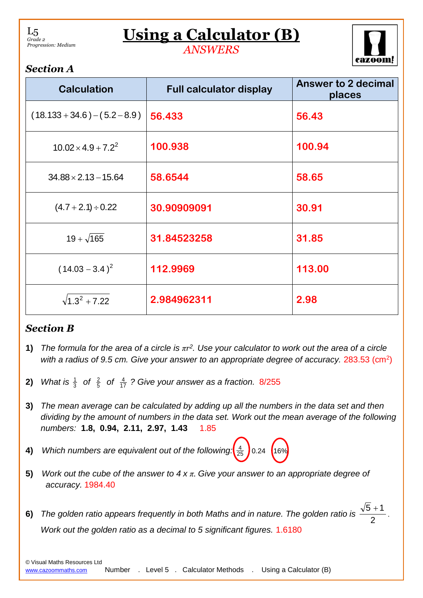L5 *Grade 2 Progression: Medium*

## **Using a Calculator (B)**

*ANSWERS*



## *Section A*

| <b>Calculation</b>              | <b>Full calculator display</b> | Answer to 2 decimal<br>places |
|---------------------------------|--------------------------------|-------------------------------|
| $(18.133 + 34.6) - (5.2 - 8.9)$ | 56.433                         | 56.43                         |
| $10.02 \times 4.9 + 7.2^2$      | 100.938                        | 100.94                        |
| $34.88 \times 2.13 - 15.64$     | 58.6544                        | 58.65                         |
| $(4.7 + 2.1) \div 0.22$         | 30.90909091                    | 30.91                         |
| $19 + \sqrt{165}$               | 31.84523258                    | 31.85                         |
| $(14.03 - 3.4)^2$               | 112.9969                       | 113.00                        |
| $\sqrt{1.3^2 + 7.22}$           | 2.984962311                    | 2.98                          |

## *Section B*

- **1)** *The formula for the area of a circle is πr 2 . Use your calculator to work out the area of a circle*  with a radius of 9.5 cm. Give your answer to an appropriate degree of accuracy. 283.53 (cm<sup>2</sup>)
- **2)** *What is*  3  $rac{1}{3}$  of  $rac{2}{5}$ 2 *of*  17 4 *? Give your answer as a fraction.* 8/255
- **3)** *The mean average can be calculated by adding up all the numbers in the data set and then dividing by the amount of numbers in the data set. Work out the mean average of the following numbers:* **1.8, 0.94, 2.11, 2.97, 1.43** 1.85
- **4)** *Which numbers are equivalent out of the following:* 25  $\frac{4}{25}$  0.24 (16%)
- **5)** *Work out the cube of the answer to 4 x π. Give your answer to an appropriate degree of accuracy.* 1984.40
- **6)** *The golden ratio appears frequently in both Maths and in nature. The golden ratio is*  2  $5+1$ . *Work out the golden ratio as a decimal to 5 significant figures.* 1.6180